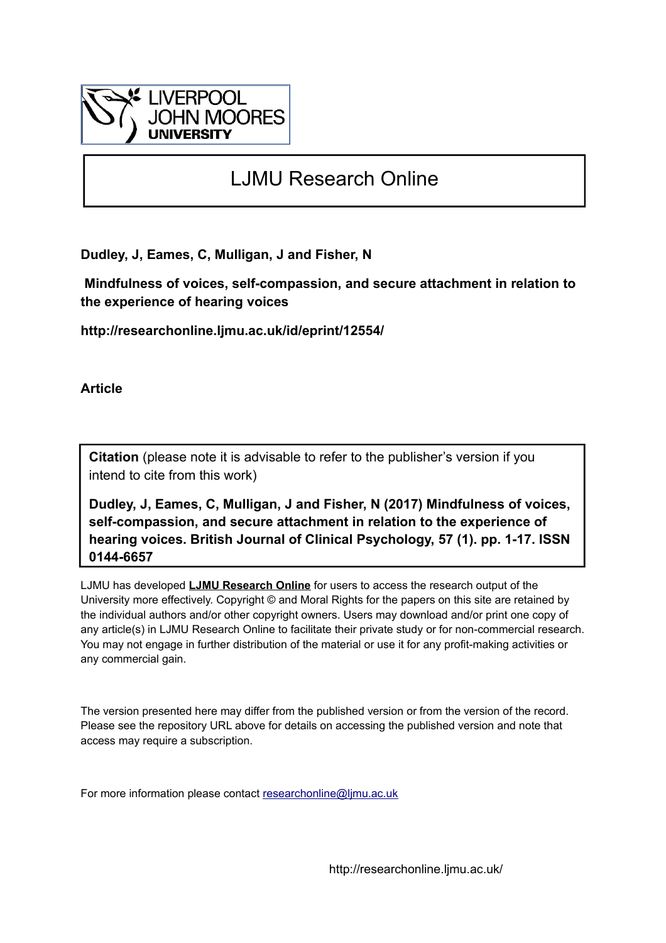

# LJMU Research Online

**Dudley, J, Eames, C, Mulligan, J and Fisher, N**

 **Mindfulness of voices, self-compassion, and secure attachment in relation to the experience of hearing voices**

**http://researchonline.ljmu.ac.uk/id/eprint/12554/**

**Article**

**Citation** (please note it is advisable to refer to the publisher's version if you intend to cite from this work)

**Dudley, J, Eames, C, Mulligan, J and Fisher, N (2017) Mindfulness of voices, self-compassion, and secure attachment in relation to the experience of hearing voices. British Journal of Clinical Psychology, 57 (1). pp. 1-17. ISSN 0144-6657** 

LJMU has developed **[LJMU Research Online](http://researchonline.ljmu.ac.uk/)** for users to access the research output of the University more effectively. Copyright © and Moral Rights for the papers on this site are retained by the individual authors and/or other copyright owners. Users may download and/or print one copy of any article(s) in LJMU Research Online to facilitate their private study or for non-commercial research. You may not engage in further distribution of the material or use it for any profit-making activities or any commercial gain.

The version presented here may differ from the published version or from the version of the record. Please see the repository URL above for details on accessing the published version and note that access may require a subscription.

For more information please contact [researchonline@ljmu.ac.uk](mailto:researchonline@ljmu.ac.uk)

http://researchonline.ljmu.ac.uk/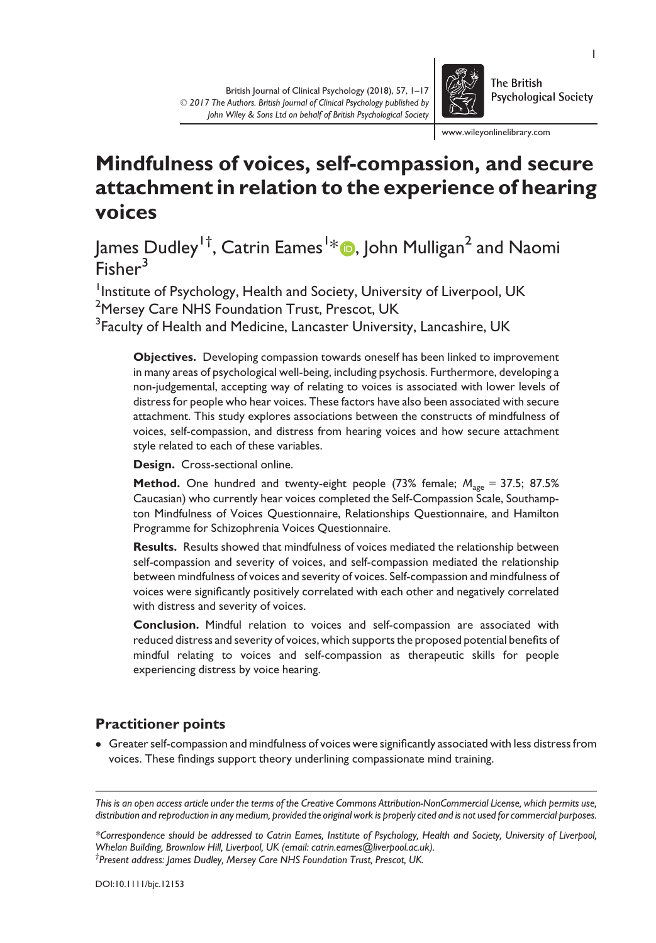

www.wileyonlinelibrary.com

## Mindfulness of voices, self-compassion, and secure attachment in relation to the experience of hearing voices

James Dudley<sup>1†</sup>, Catrin Eames<sup>1</sup>\*®, John Mulligan<sup>2</sup> and Naomi  $F$ isher<sup>3</sup>

Institute of Psychology, Health and Society, University of Liverpool, UK <sup>2</sup>Mersey Care NHS Foundation Trust, Prescot, UK  $^3$ Faculty of Health and Medicine, Lancaster University, Lancashire, UK

Objectives. Developing compassion towards oneself has been linked to improvement in many areas of psychological well-being, including psychosis. Furthermore, developing a non-judgemental, accepting way of relating to voices is associated with lower levels of distress for people who hear voices. These factors have also been associated with secure attachment. This study explores associations between the constructs of mindfulness of voices, self-compassion, and distress from hearing voices and how secure attachment style related to each of these variables.

Design. Cross-sectional online.

**Method.** One hundred and twenty-eight people (73% female;  $M_{\text{age}} = 37.5$ ; 87.5% Caucasian) who currently hear voices completed the Self-Compassion Scale, Southampton Mindfulness of Voices Questionnaire, Relationships Questionnaire, and Hamilton Programme for Schizophrenia Voices Questionnaire.

Results. Results showed that mindfulness of voices mediated the relationship between self-compassion and severity of voices, and self-compassion mediated the relationship between mindfulness of voices and severity of voices. Self-compassion and mindfulness of voices were significantly positively correlated with each other and negatively correlated with distress and severity of voices.

Conclusion. Mindful relation to voices and self-compassion are associated with reduced distress and severity of voices, which supports the proposed potential benefits of mindful relating to voices and self-compassion as therapeutic skills for people experiencing distress by voice hearing.

## Practitioner points

 Greater self-compassion and mindfulness of voices were significantly associated with less distress from voices. These findings support theory underlining compassionate mind training.

\*Correspondence should be addressed to Catrin Eames, Institute of Psychology, Health and Society, University of Liverpool, Whelan Building, Brownlow Hill, Liverpool, UK (email: catrin.eames@liverpool.ac.uk). † Present address: James Dudley, Mersey Care NHS Foundation Trust, Prescot, UK.

1

This is an open access article under the terms of the [Creative Commons Attribution-NonCommercial](http://creativecommons.org/licenses/by-nc/4.0/) License, which permits use, distribution and reproduction in any medium, provided the original work is properly cited and is not used for commercial purposes.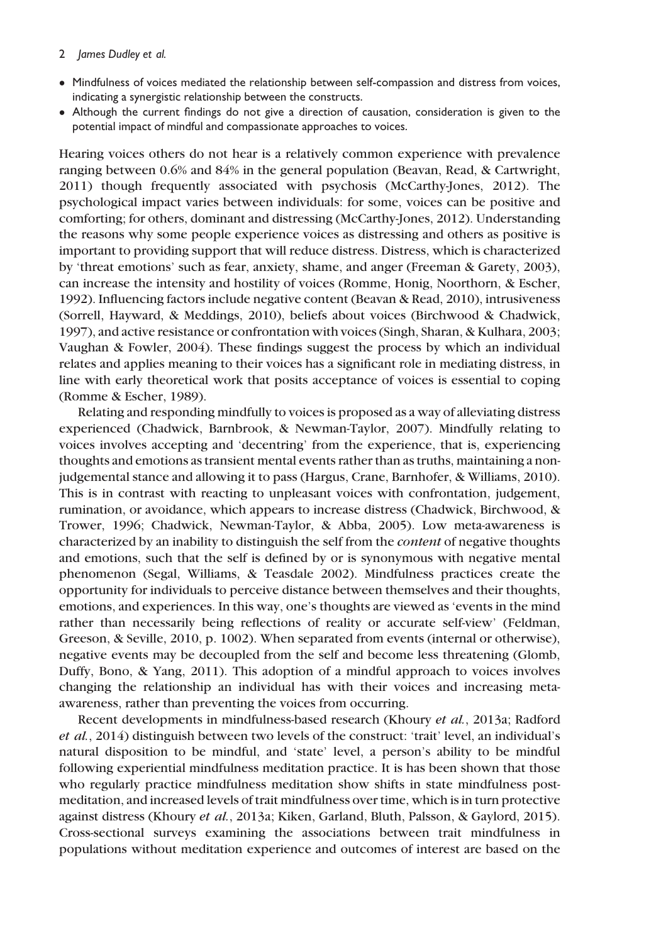- Mindfulness of voices mediated the relationship between self-compassion and distress from voices, indicating a synergistic relationship between the constructs.
- Although the current findings do not give a direction of causation, consideration is given to the potential impact of mindful and compassionate approaches to voices.

Hearing voices others do not hear is a relatively common experience with prevalence ranging between 0.6% and 84% in the general population (Beavan, Read, & Cartwright, 2011) though frequently associated with psychosis (McCarthy-Jones, 2012). The psychological impact varies between individuals: for some, voices can be positive and comforting; for others, dominant and distressing (McCarthy-Jones, 2012). Understanding the reasons why some people experience voices as distressing and others as positive is important to providing support that will reduce distress. Distress, which is characterized by 'threat emotions' such as fear, anxiety, shame, and anger (Freeman & Garety, 2003), can increase the intensity and hostility of voices (Romme, Honig, Noorthorn, & Escher, 1992). Influencing factors include negative content (Beavan & Read, 2010), intrusiveness (Sorrell, Hayward, & Meddings, 2010), beliefs about voices (Birchwood & Chadwick, 1997), and active resistance or confrontation with voices (Singh, Sharan, & Kulhara, 2003; Vaughan & Fowler, 2004). These findings suggest the process by which an individual relates and applies meaning to their voices has a significant role in mediating distress, in line with early theoretical work that posits acceptance of voices is essential to coping (Romme & Escher, 1989).

Relating and responding mindfully to voices is proposed as a way of alleviating distress experienced (Chadwick, Barnbrook, & Newman-Taylor, 2007). Mindfully relating to voices involves accepting and 'decentring' from the experience, that is, experiencing thoughts and emotions as transient mental events rather than as truths, maintaining a nonjudgemental stance and allowing it to pass (Hargus, Crane, Barnhofer, & Williams, 2010). This is in contrast with reacting to unpleasant voices with confrontation, judgement, rumination, or avoidance, which appears to increase distress (Chadwick, Birchwood, & Trower, 1996; Chadwick, Newman-Taylor, & Abba, 2005). Low meta-awareness is characterized by an inability to distinguish the self from the content of negative thoughts and emotions, such that the self is defined by or is synonymous with negative mental phenomenon (Segal, Williams, & Teasdale 2002). Mindfulness practices create the opportunity for individuals to perceive distance between themselves and their thoughts, emotions, and experiences. In this way, one's thoughts are viewed as 'events in the mind rather than necessarily being reflections of reality or accurate self-view' (Feldman, Greeson, & Seville, 2010, p. 1002). When separated from events (internal or otherwise), negative events may be decoupled from the self and become less threatening (Glomb, Duffy, Bono, & Yang, 2011). This adoption of a mindful approach to voices involves changing the relationship an individual has with their voices and increasing metaawareness, rather than preventing the voices from occurring.

Recent developments in mindfulness-based research (Khoury et al., 2013a; Radford et al., 2014) distinguish between two levels of the construct: 'trait' level, an individual's natural disposition to be mindful, and 'state' level, a person's ability to be mindful following experiential mindfulness meditation practice. It is has been shown that those who regularly practice mindfulness meditation show shifts in state mindfulness postmeditation, and increased levels of trait mindfulness over time, which is in turn protective against distress (Khoury et al., 2013a; Kiken, Garland, Bluth, Palsson, & Gaylord, 2015). Cross-sectional surveys examining the associations between trait mindfulness in populations without meditation experience and outcomes of interest are based on the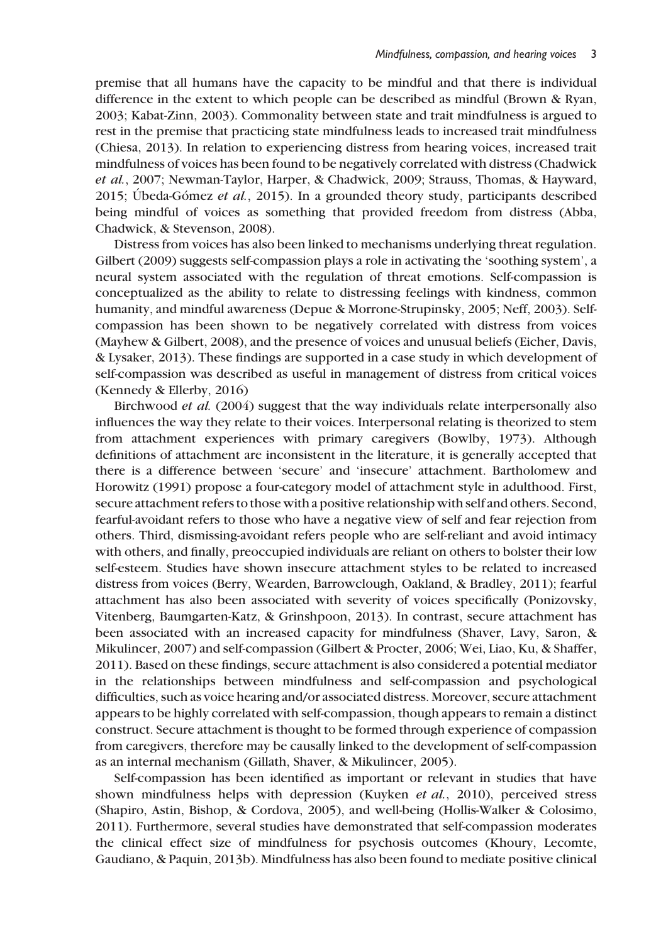premise that all humans have the capacity to be mindful and that there is individual difference in the extent to which people can be described as mindful (Brown & Ryan, 2003; Kabat-Zinn, 2003). Commonality between state and trait mindfulness is argued to rest in the premise that practicing state mindfulness leads to increased trait mindfulness (Chiesa, 2013). In relation to experiencing distress from hearing voices, increased trait mindfulness of voices has been found to be negatively correlated with distress (Chadwick et al., 2007; Newman-Taylor, Harper, & Chadwick, 2009; Strauss, Thomas, & Hayward, 2015; Ubeda-Gómez et al., 2015). In a grounded theory study, participants described being mindful of voices as something that provided freedom from distress (Abba, Chadwick, & Stevenson, 2008).

Distress from voices has also been linked to mechanisms underlying threat regulation. Gilbert (2009) suggests self-compassion plays a role in activating the 'soothing system', a neural system associated with the regulation of threat emotions. Self-compassion is conceptualized as the ability to relate to distressing feelings with kindness, common humanity, and mindful awareness (Depue & Morrone-Strupinsky, 2005; Neff, 2003). Selfcompassion has been shown to be negatively correlated with distress from voices (Mayhew & Gilbert, 2008), and the presence of voices and unusual beliefs (Eicher, Davis, & Lysaker, 2013). These findings are supported in a case study in which development of self-compassion was described as useful in management of distress from critical voices (Kennedy & Ellerby, 2016)

Birchwood et al. (2004) suggest that the way individuals relate interpersonally also influences the way they relate to their voices. Interpersonal relating is theorized to stem from attachment experiences with primary caregivers (Bowlby, 1973). Although definitions of attachment are inconsistent in the literature, it is generally accepted that there is a difference between 'secure' and 'insecure' attachment. Bartholomew and Horowitz (1991) propose a four-category model of attachment style in adulthood. First, secure attachment refers to those with a positive relationship with self and others. Second, fearful-avoidant refers to those who have a negative view of self and fear rejection from others. Third, dismissing-avoidant refers people who are self-reliant and avoid intimacy with others, and finally, preoccupied individuals are reliant on others to bolster their low self-esteem. Studies have shown insecure attachment styles to be related to increased distress from voices (Berry, Wearden, Barrowclough, Oakland, & Bradley, 2011); fearful attachment has also been associated with severity of voices specifically (Ponizovsky, Vitenberg, Baumgarten-Katz, & Grinshpoon, 2013). In contrast, secure attachment has been associated with an increased capacity for mindfulness (Shaver, Lavy, Saron, & Mikulincer, 2007) and self-compassion (Gilbert & Procter, 2006; Wei, Liao, Ku, & Shaffer, 2011). Based on these findings, secure attachment is also considered a potential mediator in the relationships between mindfulness and self-compassion and psychological difficulties, such as voice hearing and/or associated distress. Moreover, secure attachment appears to be highly correlated with self-compassion, though appears to remain a distinct construct. Secure attachment is thought to be formed through experience of compassion from caregivers, therefore may be causally linked to the development of self-compassion as an internal mechanism (Gillath, Shaver, & Mikulincer, 2005).

Self-compassion has been identified as important or relevant in studies that have shown mindfulness helps with depression (Kuyken *et al.*, 2010), perceived stress (Shapiro, Astin, Bishop, & Cordova, 2005), and well-being (Hollis-Walker & Colosimo, 2011). Furthermore, several studies have demonstrated that self-compassion moderates the clinical effect size of mindfulness for psychosis outcomes (Khoury, Lecomte, Gaudiano, & Paquin, 2013b). Mindfulness has also been found to mediate positive clinical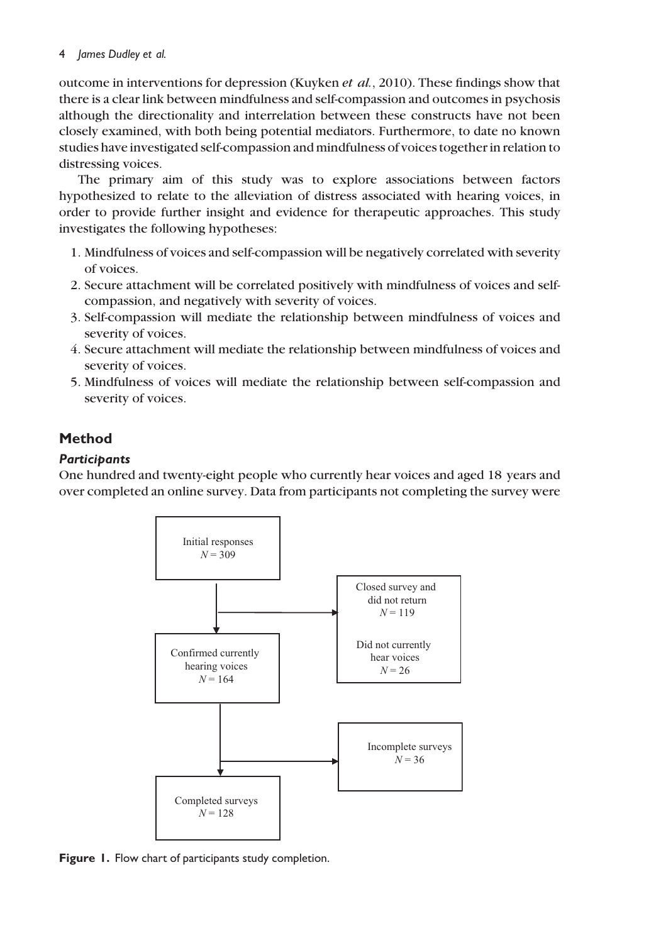outcome in interventions for depression (Kuyken et  $al$ , 2010). These findings show that there is a clear link between mindfulness and self-compassion and outcomes in psychosis although the directionality and interrelation between these constructs have not been closely examined, with both being potential mediators. Furthermore, to date no known studies have investigated self-compassion and mindfulness of voices together in relation to distressing voices.

The primary aim of this study was to explore associations between factors hypothesized to relate to the alleviation of distress associated with hearing voices, in order to provide further insight and evidence for therapeutic approaches. This study investigates the following hypotheses:

- 1. Mindfulness of voices and self-compassion will be negatively correlated with severity of voices.
- 2. Secure attachment will be correlated positively with mindfulness of voices and selfcompassion, and negatively with severity of voices.
- 3. Self-compassion will mediate the relationship between mindfulness of voices and severity of voices.
- 4. Secure attachment will mediate the relationship between mindfulness of voices and severity of voices.
- 5. Mindfulness of voices will mediate the relationship between self-compassion and severity of voices.

## Method

## **Participants**

One hundred and twenty-eight people who currently hear voices and aged 18 years and over completed an online survey. Data from participants not completing the survey were



Figure 1. Flow chart of participants study completion.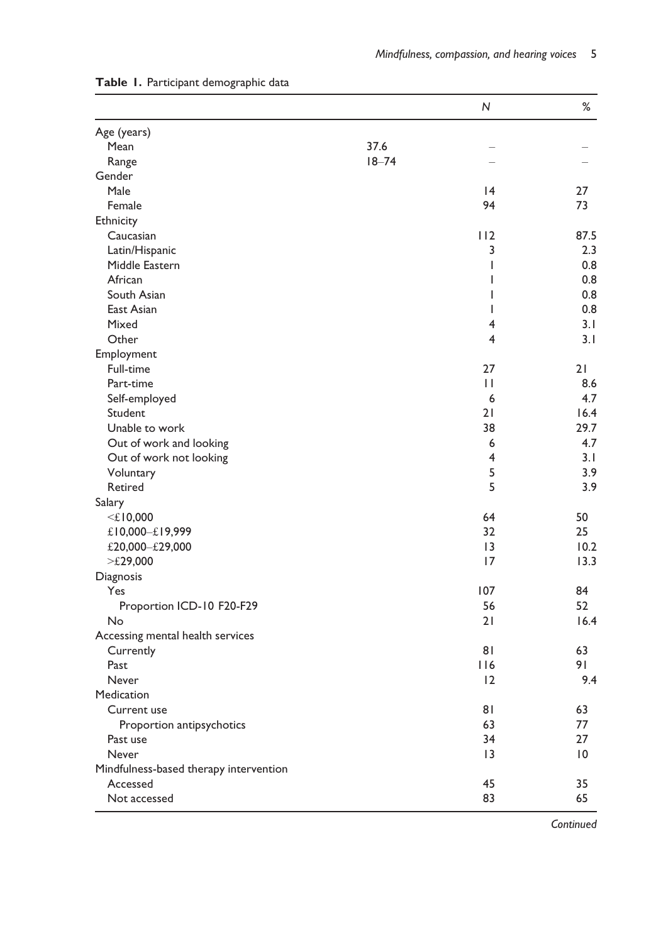|                                        |           | ${\sf N}$       | $\%$            |
|----------------------------------------|-----------|-----------------|-----------------|
| Age (years)                            |           |                 |                 |
| <b>Mean</b>                            | 37.6      |                 |                 |
| Range                                  | $18 - 74$ |                 |                 |
| Gender                                 |           |                 |                 |
| Male                                   |           | $\overline{14}$ | 27              |
| Female                                 |           | 94              | 73              |
| Ethnicity                              |           |                 |                 |
| Caucasian                              |           | 112             | 87.5            |
| Latin/Hispanic                         |           | 3               | 2.3             |
| Middle Eastern                         |           | $\mathsf{I}$    | 0.8             |
| African                                |           | $\mathsf{I}$    | 0.8             |
| South Asian                            |           | $\mathbf{I}$    | 0.8             |
| East Asian                             |           | $\mathsf{I}$    | 0.8             |
| Mixed                                  |           | 4               | 3.1             |
| Other                                  |           | 4               | 3.1             |
| Employment                             |           |                 |                 |
| Full-time                              |           | 27              | 21              |
| Part-time                              |           | $\mathsf{L}$    | 8.6             |
| Self-employed                          |           | 6               | 4.7             |
| Student                                |           | 21              | 16.4            |
| Unable to work                         |           | 38              | 29.7            |
| Out of work and looking                |           | 6               | 4.7             |
| Out of work not looking                |           | 4               | 3.1             |
| Voluntary                              |           | 5               | 3.9             |
| Retired                                |           | 5               | 3.9             |
| Salary                                 |           |                 |                 |
| $<$ £10,000                            |           | 64              | 50              |
| £10,000-£19,999                        |           | 32              | 25              |
| £20,000-£29,000                        |           | 13              | 10.2            |
| $>\tE29,000$                           |           | 17              | 13.3            |
| Diagnosis                              |           |                 |                 |
| Yes                                    |           | 107             | 84              |
| Proportion ICD-10 F20-F29              |           | 56              | 52              |
| No                                     |           | 21              | 16.4            |
| Accessing mental health services       |           |                 |                 |
| Currently                              |           | 81              | 63              |
| Past                                   |           | 116             | 91              |
| Never                                  |           | 12              | 9.4             |
| Medication                             |           |                 |                 |
| Current use                            |           | 81              | 63              |
| Proportion antipsychotics              |           | 63              | 77              |
| Past use                               |           | 34              | 27              |
| Never                                  |           | 13              | $\overline{10}$ |
| Mindfulness-based therapy intervention |           |                 |                 |
| Accessed                               |           | 45              | 35              |
| Not accessed                           |           | 83              | 65              |
|                                        |           |                 |                 |

#### Table 1. Participant demographic data

**Continued**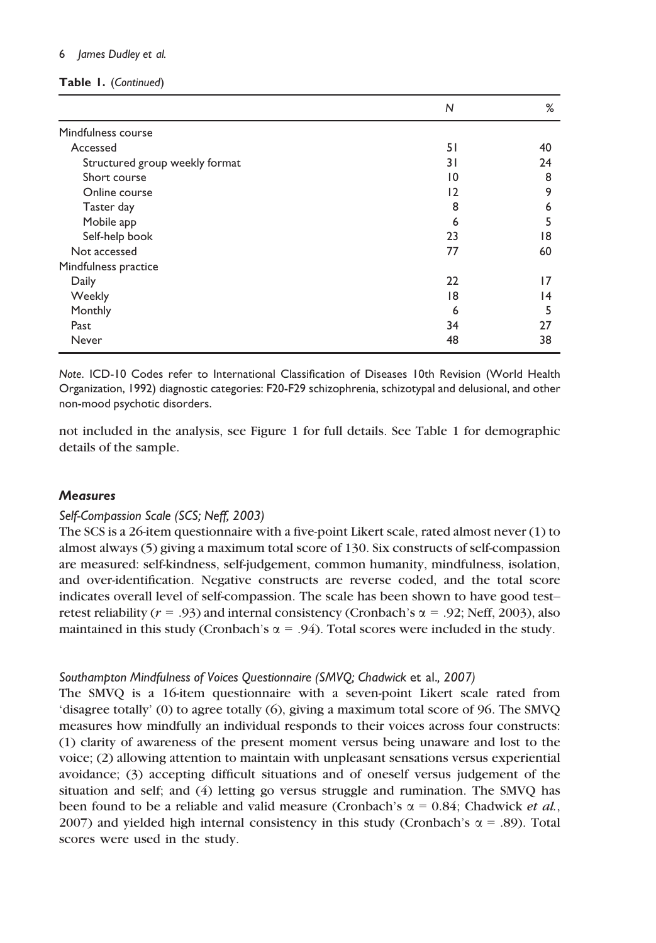|  | Table I. (Continued) |
|--|----------------------|
|--|----------------------|

|                                | N  | ℅  |
|--------------------------------|----|----|
| Mindfulness course             |    |    |
| Accessed                       | 51 | 40 |
| Structured group weekly format | 31 | 24 |
| Short course                   | 10 | 8  |
| Online course                  | 12 | 9  |
| Taster day                     | 8  | 6  |
| Mobile app                     | 6  | 5  |
| Self-help book                 | 23 | 18 |
| Not accessed                   | 77 | 60 |
| Mindfulness practice           |    |    |
| Daily                          | 22 | 17 |
| Weekly                         | 18 | 14 |
| Monthly                        | 6  | 5  |
| Past                           | 34 | 27 |
| Never                          | 48 | 38 |

Note. ICD-10 Codes refer to International Classification of Diseases 10th Revision (World Health Organization, 1992) diagnostic categories: F20-F29 schizophrenia, schizotypal and delusional, and other non-mood psychotic disorders.

not included in the analysis, see Figure 1 for full details. See Table 1 for demographic details of the sample.

#### **Measures**

#### Self-Compassion Scale (SCS; Neff, 2003)

The SCS is a 26-item questionnaire with a five-point Likert scale, rated almost never (1) to almost always (5) giving a maximum total score of 130. Six constructs of self-compassion are measured: self-kindness, self-judgement, common humanity, mindfulness, isolation, and over-identification. Negative constructs are reverse coded, and the total score indicates overall level of self-compassion. The scale has been shown to have good test– retest reliability ( $r = .93$ ) and internal consistency (Cronbach's  $\alpha = .92$ ; Neff, 2003), also maintained in this study (Cronbach's  $\alpha = .94$ ). Total scores were included in the study.

#### Southampton Mindfulness of Voices Questionnaire (SMVQ; Chadwick et al., 2007)

The SMVQ is a 16-item questionnaire with a seven-point Likert scale rated from 'disagree totally' (0) to agree totally (6), giving a maximum total score of 96. The SMVQ measures how mindfully an individual responds to their voices across four constructs: (1) clarity of awareness of the present moment versus being unaware and lost to the voice; (2) allowing attention to maintain with unpleasant sensations versus experiential avoidance; (3) accepting difficult situations and of oneself versus judgement of the situation and self; and (4) letting go versus struggle and rumination. The SMVQ has been found to be a reliable and valid measure (Cronbach's  $\alpha = 0.84$ ; Chadwick *et al.*, 2007) and yielded high internal consistency in this study (Cronbach's  $\alpha$  = .89). Total scores were used in the study.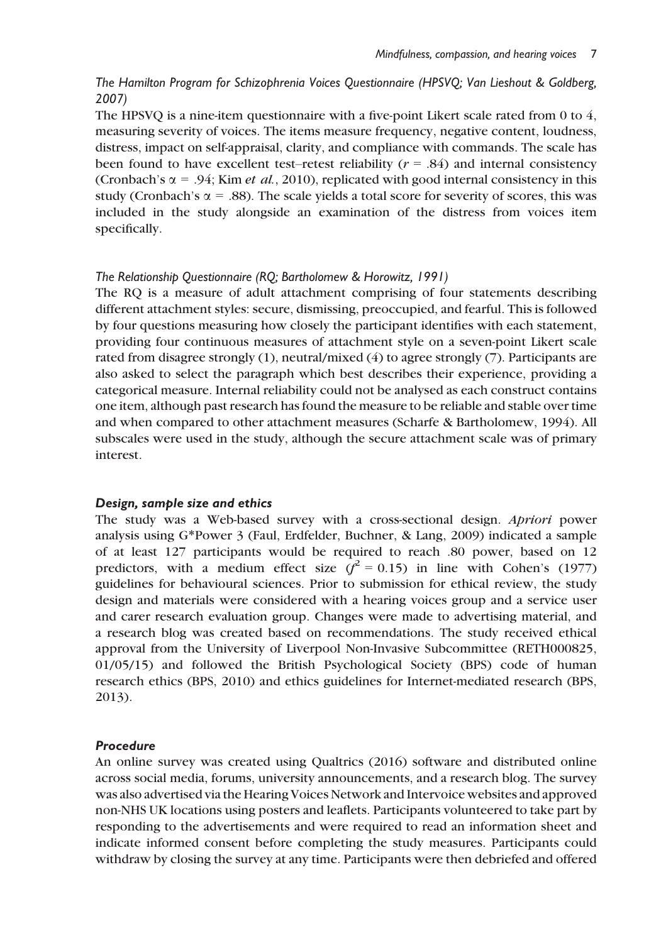## The Hamilton Program for Schizophrenia Voices Questionnaire (HPSVQ; Van Lieshout & Goldberg, 2007)

The HPSVQ is a nine-item questionnaire with a five-point Likert scale rated from 0 to 4, measuring severity of voices. The items measure frequency, negative content, loudness, distress, impact on self-appraisal, clarity, and compliance with commands. The scale has been found to have excellent test–retest reliability ( $r = .84$ ) and internal consistency (Cronbach's  $\alpha$  = .94; Kim *et al.*, 2010), replicated with good internal consistency in this study (Cronbach's  $\alpha$  = .88). The scale yields a total score for severity of scores, this was included in the study alongside an examination of the distress from voices item specifically.

#### The Relationship Questionnaire (RQ; Bartholomew & Horowitz, 1991)

The RQ is a measure of adult attachment comprising of four statements describing different attachment styles: secure, dismissing, preoccupied, and fearful. This is followed by four questions measuring how closely the participant identifies with each statement, providing four continuous measures of attachment style on a seven-point Likert scale rated from disagree strongly (1), neutral/mixed (4) to agree strongly (7). Participants are also asked to select the paragraph which best describes their experience, providing a categorical measure. Internal reliability could not be analysed as each construct contains one item, although past research has found the measure to be reliable and stable over time and when compared to other attachment measures (Scharfe & Bartholomew, 1994). All subscales were used in the study, although the secure attachment scale was of primary interest.

#### Design, sample size and ethics

The study was a Web-based survey with a cross-sectional design. Apriori power analysis using G\*Power 3 (Faul, Erdfelder, Buchner, & Lang, 2009) indicated a sample of at least 127 participants would be required to reach .80 power, based on 12 predictors, with a medium effect size  $(\hat{f}^2 = 0.15)$  in line with Cohen's (1977) guidelines for behavioural sciences. Prior to submission for ethical review, the study design and materials were considered with a hearing voices group and a service user and carer research evaluation group. Changes were made to advertising material, and a research blog was created based on recommendations. The study received ethical approval from the University of Liverpool Non-Invasive Subcommittee (RETH000825, 01/05/15) and followed the British Psychological Society (BPS) code of human research ethics (BPS, 2010) and ethics guidelines for Internet-mediated research (BPS, 2013).

#### Procedure

An online survey was created using Qualtrics (2016) software and distributed online across social media, forums, university announcements, and a research blog. The survey was also advertised via the Hearing Voices Network and Intervoice websites and approved non-NHS UK locations using posters and leaflets. Participants volunteered to take part by responding to the advertisements and were required to read an information sheet and indicate informed consent before completing the study measures. Participants could withdraw by closing the survey at any time. Participants were then debriefed and offered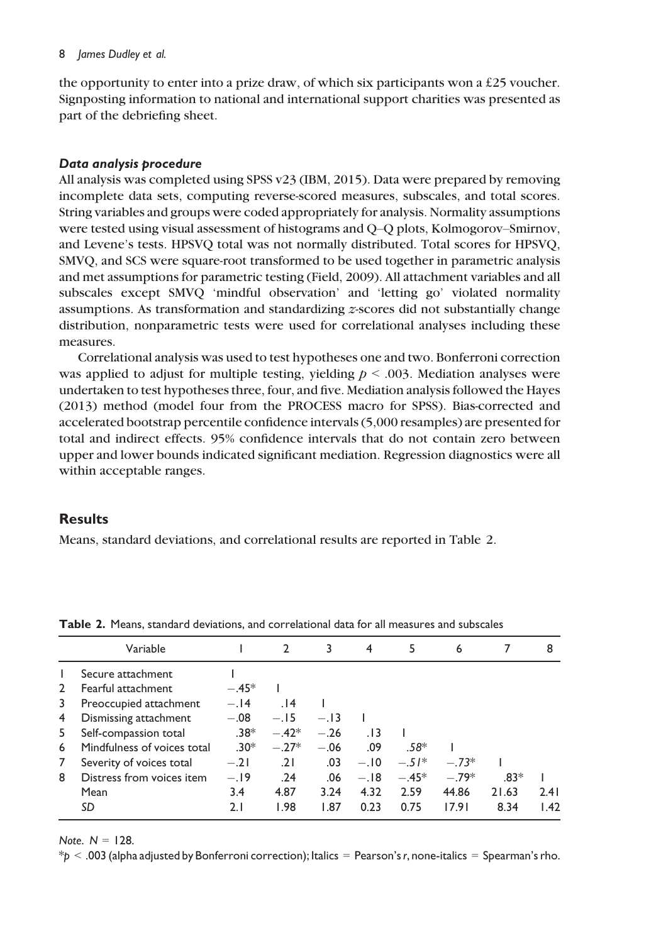the opportunity to enter into a prize draw, of which six participants won a £25 voucher. Signposting information to national and international support charities was presented as part of the debriefing sheet.

#### Data analysis procedure

All analysis was completed using SPSS v23 (IBM, 2015). Data were prepared by removing incomplete data sets, computing reverse-scored measures, subscales, and total scores. String variables and groups were coded appropriately for analysis. Normality assumptions were tested using visual assessment of histograms and Q–Q plots, Kolmogorov–Smirnov, and Levene's tests. HPSVQ total was not normally distributed. Total scores for HPSVQ, SMVQ, and SCS were square-root transformed to be used together in parametric analysis and met assumptions for parametric testing (Field, 2009). All attachment variables and all subscales except SMVQ 'mindful observation' and 'letting go' violated normality assumptions. As transformation and standardizing z-scores did not substantially change distribution, nonparametric tests were used for correlational analyses including these measures.

Correlational analysis was used to test hypotheses one and two. Bonferroni correction was applied to adjust for multiple testing, yielding  $p \le 0.003$ . Mediation analyses were undertaken to test hypotheses three, four, and five. Mediation analysis followed the Hayes (2013) method (model four from the PROCESS macro for SPSS). Bias-corrected and accelerated bootstrap percentile confidence intervals (5,000 resamples) are presented for total and indirect effects. 95% confidence intervals that do not contain zero between upper and lower bounds indicated significant mediation. Regression diagnostics were all within acceptable ranges.

#### Results

Means, standard deviations, and correlational results are reported in Table 2.

|                | Variable                    |         | $\mathcal{L}$ | 3      | 4      | 5       | 6       |        | 8                 |
|----------------|-----------------------------|---------|---------------|--------|--------|---------|---------|--------|-------------------|
| $\mathbf{I}$   | Secure attachment           |         |               |        |        |         |         |        |                   |
| $\overline{2}$ | Fearful attachment          | $-.45*$ |               |        |        |         |         |        |                   |
| 3              | Preoccupied attachment      | $-.14$  | .14           |        |        |         |         |        |                   |
| 4              | Dismissing attachment       | $-.08$  | $-.15$        | $-.13$ |        |         |         |        |                   |
| 5              | Self-compassion total       | $.38*$  | $-.42*$       | $-.26$ | . 13   |         |         |        |                   |
| 6              | Mindfulness of voices total | $-30*$  | $-.27*$       | $-.06$ | .09    | .58*    |         |        |                   |
| 7              | Severity of voices total    | $-.21$  | .21           | .03    | $-.10$ | $-.51*$ | $-73*$  |        |                   |
| 8              | Distress from voices item   | $-.19$  | .24           | .06    | $-.18$ | $-.45*$ | $-.79*$ | $.83*$ |                   |
|                | Mean                        | 3.4     | 4.87          | 3.24   | 4.32   | 2.59    | 44.86   | 21.63  | 2.41              |
|                | SD                          | 2. I    | 1.98          | 1.87   | 0.23   | 0.75    | 17.91   | 8.34   | $\vert .42 \vert$ |

Table 2. Means, standard deviations, and correlational data for all measures and subscales

Note.  $N = 128$ .

 $*pi \times .003$  (alpha adjusted by Bonferroni correction); Italics = Pearson's r, none-italics = Spearman's rho.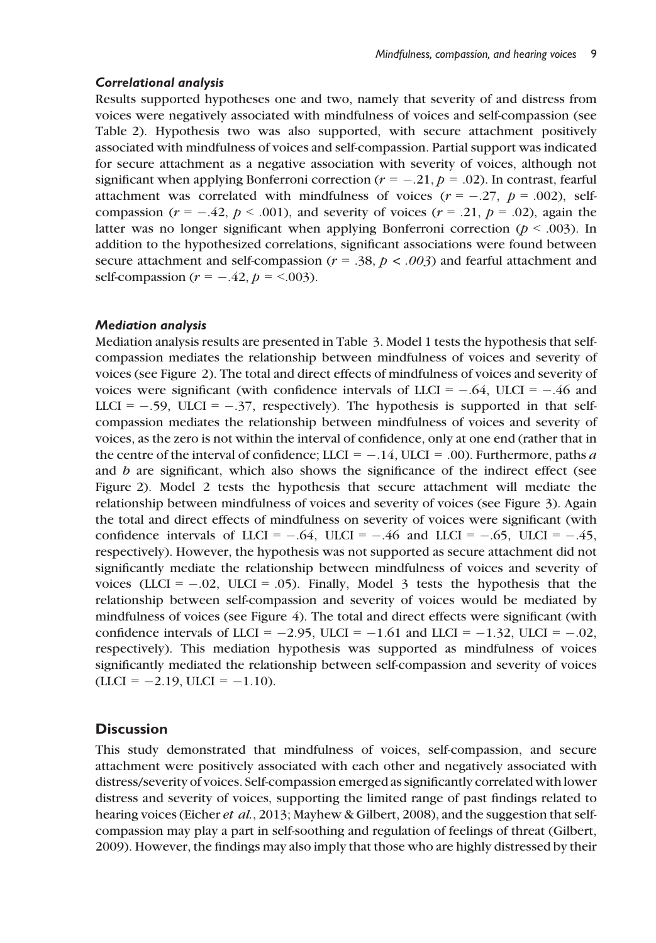#### Correlational analysis

Results supported hypotheses one and two, namely that severity of and distress from voices were negatively associated with mindfulness of voices and self-compassion (see Table 2). Hypothesis two was also supported, with secure attachment positively associated with mindfulness of voices and self-compassion. Partial support was indicated for secure attachment as a negative association with severity of voices, although not significant when applying Bonferroni correction ( $r = -.21$ ,  $p = .02$ ). In contrast, fearful attachment was correlated with mindfulness of voices  $(r = -.27, p = .002)$ , selfcompassion ( $r = -.42$ ,  $p < .001$ ), and severity of voices ( $r = .21$ ,  $p = .02$ ), again the latter was no longer significant when applying Bonferroni correction ( $p < .003$ ). In addition to the hypothesized correlations, significant associations were found between secure attachment and self-compassion ( $r = .38$ ,  $p < .003$ ) and fearful attachment and self-compassion ( $r = -.42$ ,  $p = <.003$ ).

### Mediation analysis

Mediation analysis results are presented in Table 3. Model 1 tests the hypothesis that selfcompassion mediates the relationship between mindfulness of voices and severity of voices (see Figure 2). The total and direct effects of mindfulness of voices and severity of voices were significant (with confidence intervals of LLCI =  $-.64$ , ULCI =  $-.46$  and LLCI =  $-.59$ , ULCI =  $-.37$ , respectively). The hypothesis is supported in that selfcompassion mediates the relationship between mindfulness of voices and severity of voices, as the zero is not within the interval of confidence, only at one end (rather that in the centre of the interval of confidence; LLCI =  $-.14$ , ULCI = .00). Furthermore, paths a and b are significant, which also shows the significance of the indirect effect (see Figure 2). Model 2 tests the hypothesis that secure attachment will mediate the relationship between mindfulness of voices and severity of voices (see Figure 3). Again the total and direct effects of mindfulness on severity of voices were significant (with confidence intervals of LLCI =  $-.64$ , ULCI =  $-.46$  and LLCI =  $-.65$ , ULCI =  $-.45$ , respectively). However, the hypothesis was not supported as secure attachment did not significantly mediate the relationship between mindfulness of voices and severity of voices (LLCI =  $-.02$ , ULCI =  $.05$ ). Finally, Model 3 tests the hypothesis that the relationship between self-compassion and severity of voices would be mediated by mindfulness of voices (see Figure 4). The total and direct effects were significant (with confidence intervals of LLCI =  $-2.95$ , ULCI =  $-1.61$  and LLCI =  $-1.32$ , ULCI =  $-0.02$ , respectively). This mediation hypothesis was supported as mindfulness of voices significantly mediated the relationship between self-compassion and severity of voices  $(LLCI = -2.19, ULCI = -1.10).$ 

## **Discussion**

This study demonstrated that mindfulness of voices, self-compassion, and secure attachment were positively associated with each other and negatively associated with distress/severity of voices. Self-compassion emerged as significantly correlated with lower distress and severity of voices, supporting the limited range of past findings related to hearing voices (Eicher *et al.*, 2013; Mayhew & Gilbert, 2008), and the suggestion that selfcompassion may play a part in self-soothing and regulation of feelings of threat (Gilbert, 2009). However, the findings may also imply that those who are highly distressed by their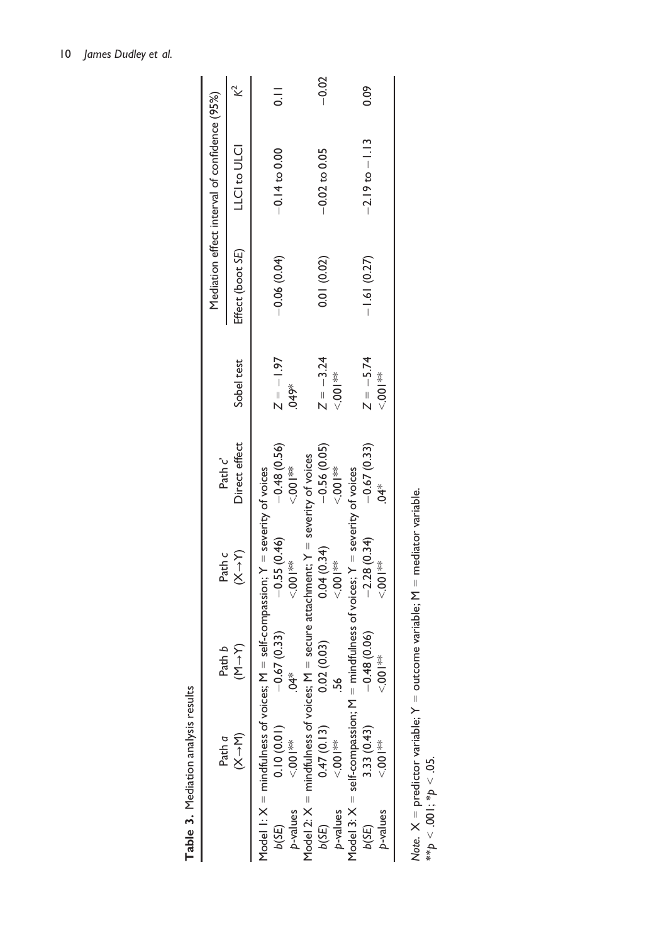| Mediation effect interval of confidence (95%) | <b>LCI to ULCI</b>                    |                                                                                       | $\bar{10}$<br>$-0.14$ to 0.00 |             |                                                                                         | $-0.02$<br>$-0.02$ to $0.05$ |                         |                                                 | 0.09<br>$-2.19$ to $-1.13$  |                                |  |
|-----------------------------------------------|---------------------------------------|---------------------------------------------------------------------------------------|-------------------------------|-------------|-----------------------------------------------------------------------------------------|------------------------------|-------------------------|-------------------------------------------------|-----------------------------|--------------------------------|--|
|                                               |                                       |                                                                                       |                               |             |                                                                                         |                              |                         |                                                 |                             |                                |  |
|                                               | Effect (boot SE)                      |                                                                                       | $-0.06(0.04)$                 |             |                                                                                         | 0.01 (0.02)                  |                         |                                                 | $-1.61(0.27)$               |                                |  |
|                                               | Sobel test                            |                                                                                       | $Z = -1.97$                   | \$649*      |                                                                                         | $Z = -3.24$                  | <b>※100</b>             |                                                 | $Z = -5.74$                 | $\frac{*}{2}$                  |  |
| Path c'                                       | Direct effect                         |                                                                                       | $-0.55(0.46)$ $-0.48(0.56)$   | $*$<br>00.> |                                                                                         | $-0.56(0.05)$                | <b>薬</b><br>○○○○○○      |                                                 | $-2.28(0.34)$ $-0.67(0.33)$ | $\overline{4}$                 |  |
| Path c                                        | $(x+Y)$                               |                                                                                       |                               | $5.001$ **  |                                                                                         | 0.04(0.34)                   | ∛<br>√00.               | mindfulness of voices; $Y =$ severity of voices |                             | $\frac{1}{2}$<br>$\frac{1}{2}$ |  |
| Path b                                        | $(\mathsf{N} \rightarrow \mathsf{N})$ | Model I: $X =$ mindfulness of voices; $M =$ self-compassion; $Y =$ severity of voices | $-0.67(0.33)$                 | ж¥          | Model 2: $X =$ mindfulness of voices; $M =$ secure attachment; $Y =$ severity of voices | 0.02(0.03)                   |                         |                                                 | $-0.48(0.06)$               | $\frac{*}{9}$                  |  |
| Path a                                        | $(X \rightarrow M)$                   |                                                                                       | $0.10(0.01)$<br><.001**       |             |                                                                                         |                              | $0.47(0.13)$<br><.001** | Model 3: $X = self-compassion; M =$             | 3.33 (0.43)                 | $\frac{1}{2}$<br>$\frac{1}{2}$ |  |
|                                               |                                       |                                                                                       | b(SE)                         | p-values    |                                                                                         | b(SE)                        | p-values                |                                                 | b(SE)                       | p-values                       |  |

Table 3. Mediation analysis results

Table 3. Mediation analysis results

| יים ויום דייר<br>$\ell =$ outcome variable; $M =$ mediator varia- |  |
|-------------------------------------------------------------------|--|
|                                                                   |  |
|                                                                   |  |
| $\therefore$ $X =$ predictor variable; $Y$                        |  |
|                                                                   |  |
|                                                                   |  |
|                                                                   |  |
|                                                                   |  |
|                                                                   |  |
|                                                                   |  |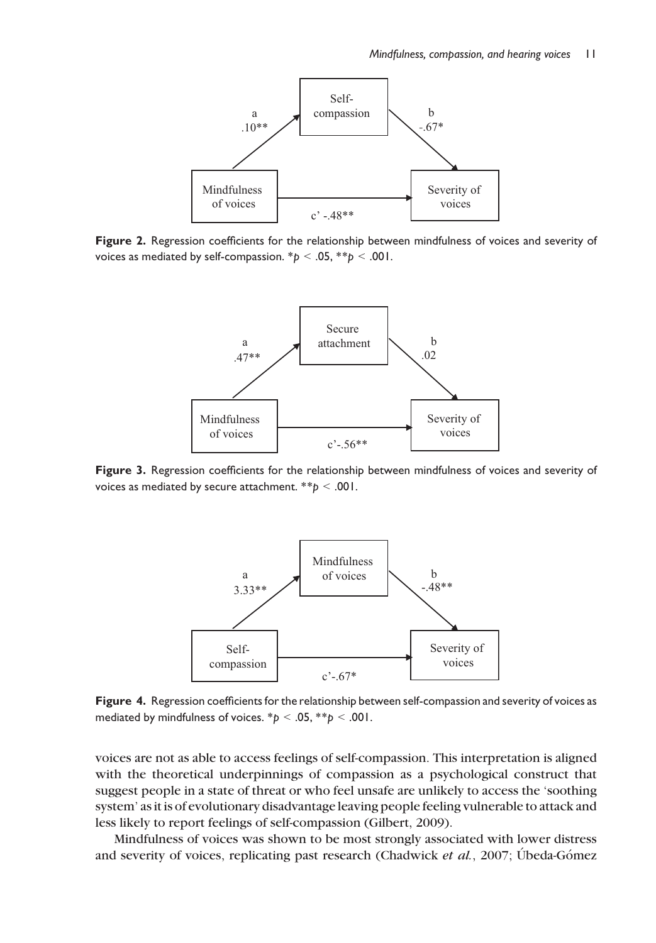

Figure 2. Regression coefficients for the relationship between mindfulness of voices and severity of voices as mediated by self-compassion.  $\mathbf{p}$  < .05,  $\mathbf{p}$  < .001.



Figure 3. Regression coefficients for the relationship between mindfulness of voices and severity of voices as mediated by secure attachment. \*\*p < .001.



Figure 4. Regression coefficients for the relationship between self-compassion and severity of voices as mediated by mindfulness of voices.  $* p < .05$ ,  $* p < .001$ .

voices are not as able to access feelings of self-compassion. This interpretation is aligned with the theoretical underpinnings of compassion as a psychological construct that suggest people in a state of threat or who feel unsafe are unlikely to access the 'soothing system' as it is of evolutionary disadvantage leaving people feeling vulnerable to attack and less likely to report feelings of self-compassion (Gilbert, 2009).

Mindfulness of voices was shown to be most strongly associated with lower distress and severity of voices, replicating past research (Chadwick et  $al$ , 2007; Úbeda-Gómez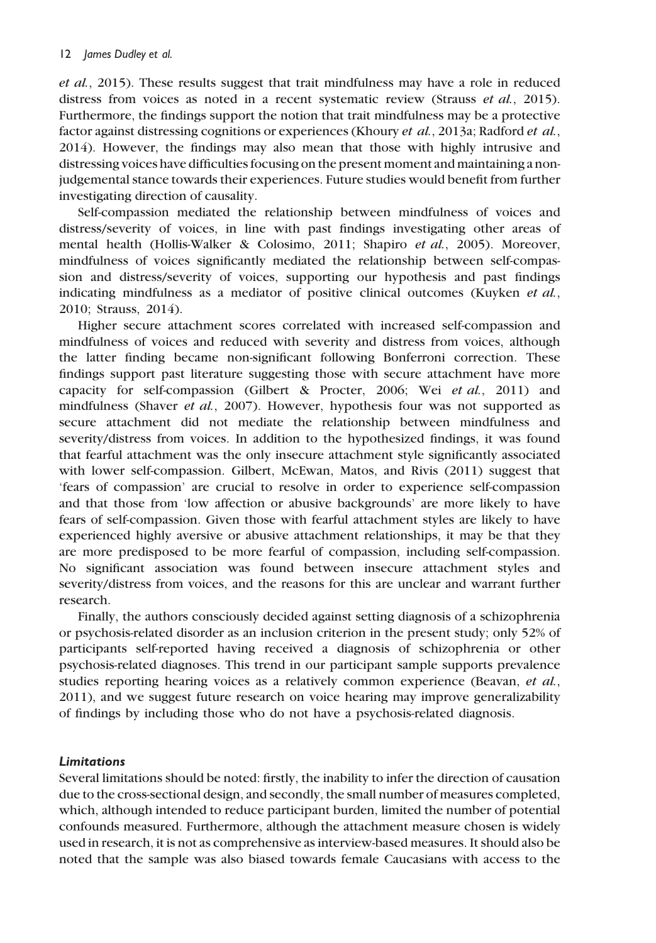et al., 2015). These results suggest that trait mindfulness may have a role in reduced distress from voices as noted in a recent systematic review (Strauss *et al.*, 2015). Furthermore, the findings support the notion that trait mindfulness may be a protective factor against distressing cognitions or experiences (Khoury *et al.*, 2013a; Radford *et al.*, 2014). However, the findings may also mean that those with highly intrusive and distressing voices have difficulties focusing on the present moment and maintaining a nonjudgemental stance towards their experiences. Future studies would benefit from further investigating direction of causality.

Self-compassion mediated the relationship between mindfulness of voices and distress/severity of voices, in line with past findings investigating other areas of mental health (Hollis-Walker & Colosimo, 2011; Shapiro et al., 2005). Moreover, mindfulness of voices significantly mediated the relationship between self-compassion and distress/severity of voices, supporting our hypothesis and past findings indicating mindfulness as a mediator of positive clinical outcomes (Kuyken  $et al$ , 2010; Strauss, 2014).

Higher secure attachment scores correlated with increased self-compassion and mindfulness of voices and reduced with severity and distress from voices, although the latter finding became non-significant following Bonferroni correction. These findings support past literature suggesting those with secure attachment have more capacity for self-compassion (Gilbert & Procter, 2006; Wei et al., 2011) and mindfulness (Shaver et al., 2007). However, hypothesis four was not supported as secure attachment did not mediate the relationship between mindfulness and severity/distress from voices. In addition to the hypothesized findings, it was found that fearful attachment was the only insecure attachment style significantly associated with lower self-compassion. Gilbert, McEwan, Matos, and Rivis (2011) suggest that 'fears of compassion' are crucial to resolve in order to experience self-compassion and that those from 'low affection or abusive backgrounds' are more likely to have fears of self-compassion. Given those with fearful attachment styles are likely to have experienced highly aversive or abusive attachment relationships, it may be that they are more predisposed to be more fearful of compassion, including self-compassion. No significant association was found between insecure attachment styles and severity/distress from voices, and the reasons for this are unclear and warrant further research.

Finally, the authors consciously decided against setting diagnosis of a schizophrenia or psychosis-related disorder as an inclusion criterion in the present study; only 52% of participants self-reported having received a diagnosis of schizophrenia or other psychosis-related diagnoses. This trend in our participant sample supports prevalence studies reporting hearing voices as a relatively common experience (Beavan, et al., 2011), and we suggest future research on voice hearing may improve generalizability of findings by including those who do not have a psychosis-related diagnosis.

#### Limitations

Several limitations should be noted: firstly, the inability to infer the direction of causation due to the cross-sectional design, and secondly, the small number of measures completed, which, although intended to reduce participant burden, limited the number of potential confounds measured. Furthermore, although the attachment measure chosen is widely used in research, it is not as comprehensive as interview-based measures. It should also be noted that the sample was also biased towards female Caucasians with access to the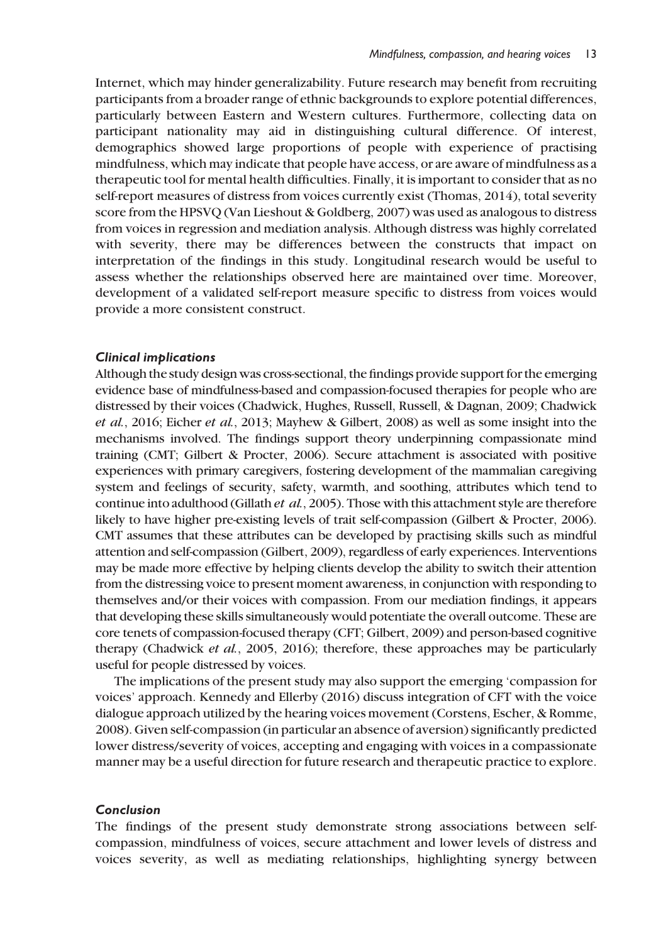Internet, which may hinder generalizability. Future research may benefit from recruiting participants from a broader range of ethnic backgrounds to explore potential differences, particularly between Eastern and Western cultures. Furthermore, collecting data on participant nationality may aid in distinguishing cultural difference. Of interest, demographics showed large proportions of people with experience of practising mindfulness, which may indicate that people have access, or are aware of mindfulness as a therapeutic tool for mental health difficulties. Finally, it is important to consider that as no self-report measures of distress from voices currently exist (Thomas, 2014), total severity score from the HPSVQ (Van Lieshout & Goldberg, 2007) was used as analogous to distress from voices in regression and mediation analysis. Although distress was highly correlated with severity, there may be differences between the constructs that impact on interpretation of the findings in this study. Longitudinal research would be useful to assess whether the relationships observed here are maintained over time. Moreover, development of a validated self-report measure specific to distress from voices would provide a more consistent construct.

#### Clinical implications

Although the study design was cross-sectional, the findings provide support for the emerging evidence base of mindfulness-based and compassion-focused therapies for people who are distressed by their voices (Chadwick, Hughes, Russell, Russell, & Dagnan, 2009; Chadwick et al., 2016; Eicher et al., 2013; Mayhew & Gilbert, 2008) as well as some insight into the mechanisms involved. The findings support theory underpinning compassionate mind training (CMT; Gilbert & Procter, 2006). Secure attachment is associated with positive experiences with primary caregivers, fostering development of the mammalian caregiving system and feelings of security, safety, warmth, and soothing, attributes which tend to continue into adulthood (Gillath et al., 2005). Those with this attachment style are therefore likely to have higher pre-existing levels of trait self-compassion (Gilbert & Procter, 2006). CMT assumes that these attributes can be developed by practising skills such as mindful attention and self-compassion (Gilbert, 2009), regardless of early experiences. Interventions may be made more effective by helping clients develop the ability to switch their attention from the distressing voice to present moment awareness, in conjunction with responding to themselves and/or their voices with compassion. From our mediation findings, it appears that developing these skills simultaneously would potentiate the overall outcome. These are core tenets of compassion-focused therapy (CFT; Gilbert, 2009) and person-based cognitive therapy (Chadwick et al., 2005, 2016); therefore, these approaches may be particularly useful for people distressed by voices.

The implications of the present study may also support the emerging 'compassion for voices' approach. Kennedy and Ellerby (2016) discuss integration of CFT with the voice dialogue approach utilized by the hearing voices movement (Corstens, Escher, & Romme, 2008). Given self-compassion (in particular an absence of aversion) significantly predicted lower distress/severity of voices, accepting and engaging with voices in a compassionate manner may be a useful direction for future research and therapeutic practice to explore.

#### Conclusion

The findings of the present study demonstrate strong associations between selfcompassion, mindfulness of voices, secure attachment and lower levels of distress and voices severity, as well as mediating relationships, highlighting synergy between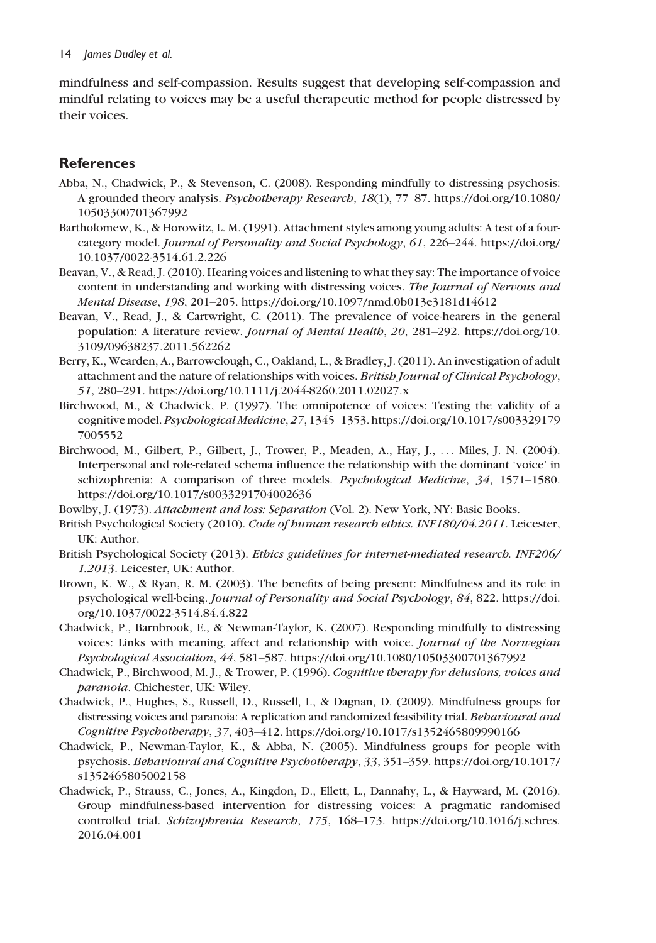mindfulness and self-compassion. Results suggest that developing self-compassion and mindful relating to voices may be a useful therapeutic method for people distressed by their voices.

## **References**

- Abba, N., Chadwick, P., & Stevenson, C. (2008). Responding mindfully to distressing psychosis: A grounded theory analysis. Psychotherapy Research, 18(1), 77–87. [https://doi.org/10.1080/](https://doi.org/10.1080/10503300701367992) [10503300701367992](https://doi.org/10.1080/10503300701367992)
- Bartholomew, K., & Horowitz, L. M. (1991). Attachment styles among young adults: A test of a fourcategory model. Journal of Personality and Social Psychology, 61, 226–244. [https://doi.org/](https://doi.org/10.1037/0022-3514.61.2.226) [10.1037/0022-3514.61.2.226](https://doi.org/10.1037/0022-3514.61.2.226)
- Beavan, V., & Read, J. (2010). Hearing voices and listening to what they say: The importance of voice content in understanding and working with distressing voices. The Journal of Nervous and Mental Disease, 198, 201–205.<https://doi.org/10.1097/nmd.0b013e3181d14612>
- Beavan, V., Read, J., & Cartwright, C. (2011). The prevalence of voice-hearers in the general population: A literature review. Journal of Mental Health, 20, 281–292. [https://doi.org/10.](https://doi.org/10.3109/09638237.2011.562262) [3109/09638237.2011.562262](https://doi.org/10.3109/09638237.2011.562262)
- Berry, K., Wearden, A., Barrowclough, C., Oakland, L., & Bradley, J. (2011). An investigation of adult attachment and the nature of relationships with voices. British Journal of Clinical Psychology, 51, 280–291.<https://doi.org/10.1111/j.2044-8260.2011.02027.x>
- Birchwood, M., & Chadwick, P. (1997). The omnipotence of voices: Testing the validity of a cognitive model. Psychological Medicine,27, 1345–1353. [https://doi.org/10.1017/s003329179](https://doi.org/10.1017/s0033291797005552) [7005552](https://doi.org/10.1017/s0033291797005552)
- Birchwood, M., Gilbert, P., Gilbert, J., Trower, P., Meaden, A., Hay, J., ... Miles, J. N. (2004). Interpersonal and role-related schema influence the relationship with the dominant 'voice' in schizophrenia: A comparison of three models. Psychological Medicine, 34, 1571–1580. <https://doi.org/10.1017/s0033291704002636>
- Bowlby, J. (1973). Attachment and loss: Separation (Vol. 2). New York, NY: Basic Books.
- British Psychological Society (2010). Code of human research ethics. INF180/04.2011. Leicester, UK: Author.
- British Psychological Society (2013). Ethics guidelines for internet-mediated research. INF206/ 1.2013. Leicester, UK: Author.
- Brown, K. W., & Ryan, R. M. (2003). The benefits of being present: Mindfulness and its role in psychological well-being. Journal of Personality and Social Psychology, 84, 822. [https://doi.](https://doi.org/10.1037/0022-3514.84.4.822) [org/10.1037/0022-3514.84.4.822](https://doi.org/10.1037/0022-3514.84.4.822)
- Chadwick, P., Barnbrook, E., & Newman-Taylor, K. (2007). Responding mindfully to distressing voices: Links with meaning, affect and relationship with voice. Journal of the Norwegian Psychological Association, 44, 581–587.<https://doi.org/10.1080/10503300701367992>
- Chadwick, P., Birchwood, M. J., & Trower, P. (1996). Cognitive therapy for delusions, voices and paranoia. Chichester, UK: Wiley.
- Chadwick, P., Hughes, S., Russell, D., Russell, I., & Dagnan, D. (2009). Mindfulness groups for distressing voices and paranoia: A replication and randomized feasibility trial. Behavioural and Cognitive Psychotherapy, 37, 403–412.<https://doi.org/10.1017/s1352465809990166>
- Chadwick, P., Newman-Taylor, K., & Abba, N. (2005). Mindfulness groups for people with psychosis. Behavioural and Cognitive Psychotherapy, 33, 351–359. [https://doi.org/10.1017/](https://doi.org/10.1017/s1352465805002158) [s1352465805002158](https://doi.org/10.1017/s1352465805002158)
- Chadwick, P., Strauss, C., Jones, A., Kingdon, D., Ellett, L., Dannahy, L., & Hayward, M. (2016). Group mindfulness-based intervention for distressing voices: A pragmatic randomised controlled trial. Schizophrenia Research, 175, 168–173. [https://doi.org/10.1016/j.schres.](https://doi.org/10.1016/j.schres.2016.04.001) [2016.04.001](https://doi.org/10.1016/j.schres.2016.04.001)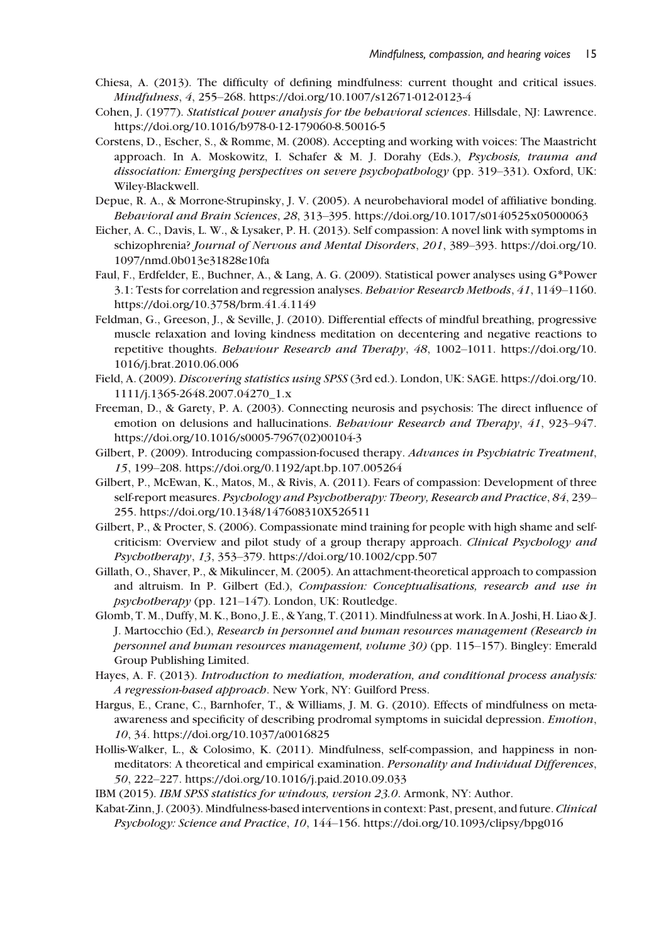- Chiesa, A. (2013). The difficulty of defining mindfulness: current thought and critical issues. Mindfulness, 4, 255–268.<https://doi.org/10.1007/s12671-012-0123-4>
- Cohen, J. (1977). Statistical power analysis for the behavioral sciences. Hillsdale, NJ: Lawrence. <https://doi.org/10.1016/b978-0-12-179060-8.50016-5>
- Corstens, D., Escher, S., & Romme, M. (2008). Accepting and working with voices: The Maastricht approach. In A. Moskowitz, I. Schafer & M. J. Dorahy (Eds.), Psychosis, trauma and dissociation: Emerging perspectives on severe psychopathology (pp. 319–331). Oxford, UK: Wiley-Blackwell.
- Depue, R. A., & Morrone-Strupinsky, J. V. (2005). A neurobehavioral model of affiliative bonding. Behavioral and Brain Sciences, 28, 313–395.<https://doi.org/10.1017/s0140525x05000063>
- Eicher, A. C., Davis, L. W., & Lysaker, P. H. (2013). Self compassion: A novel link with symptoms in schizophrenia? Journal of Nervous and Mental Disorders, 201, 389–393. [https://doi.org/10.](https://doi.org/10.1097/nmd.0b013e31828e10fa) [1097/nmd.0b013e31828e10fa](https://doi.org/10.1097/nmd.0b013e31828e10fa)
- Faul, F., Erdfelder, E., Buchner, A., & Lang, A. G. (2009). Statistical power analyses using G\*Power 3.1: Tests for correlation and regression analyses. Behavior Research Methods, 41, 1149-1160. <https://doi.org/10.3758/brm.41.4.1149>
- Feldman, G., Greeson, J., & Seville, J. (2010). Differential effects of mindful breathing, progressive muscle relaxation and loving kindness meditation on decentering and negative reactions to repetitive thoughts. Behaviour Research and Therapy, 48, 1002–1011. [https://doi.org/10.](https://doi.org/10.1016/j.brat.2010.06.006) [1016/j.brat.2010.06.006](https://doi.org/10.1016/j.brat.2010.06.006)
- Field, A. (2009). Discovering statistics using SPSS (3rd ed.). London, UK: SAGE. [https://doi.org/10.](https://doi.org/10.1111/j.1365-2648.2007.04270_1.x) [1111/j.1365-2648.2007.04270\\_1.x](https://doi.org/10.1111/j.1365-2648.2007.04270_1.x)
- Freeman, D., & Garety, P. A. (2003). Connecting neurosis and psychosis: The direct influence of emotion on delusions and hallucinations. Behaviour Research and Therapy, 41, 923–947. [https://doi.org/10.1016/s0005-7967\(02\)00104-3](https://doi.org/10.1016/s0005-7967(02)00104-3)
- Gilbert, P. (2009). Introducing compassion-focused therapy. Advances in Psychiatric Treatment, 15, 199–208.<https://doi.org/0.1192/apt.bp.107.005264>
- Gilbert, P., McEwan, K., Matos, M., & Rivis, A. (2011). Fears of compassion: Development of three self-report measures. Psychology and Psychotherapy: Theory, Research and Practice, 84, 239– 255.<https://doi.org/10.1348/147608310X526511>
- Gilbert, P., & Procter, S. (2006). Compassionate mind training for people with high shame and selfcriticism: Overview and pilot study of a group therapy approach. Clinical Psychology and Psychotherapy, 13, 353–379.<https://doi.org/10.1002/cpp.507>
- Gillath, O., Shaver, P., & Mikulincer, M. (2005). An attachment-theoretical approach to compassion and altruism. In P. Gilbert (Ed.), Compassion: Conceptualisations, research and use in psychotherapy (pp. 121–147). London, UK: Routledge.
- Glomb, T. M., Duffy, M. K., Bono, J. E., & Yang, T. (2011). Mindfulness at work. In A. Joshi, H. Liao & J. J. Martocchio (Ed.), Research in personnel and human resources management (Research in personnel and human resources management, volume 30) (pp. 115–157). Bingley: Emerald Group Publishing Limited.
- Hayes, A. F. (2013). Introduction to mediation, moderation, and conditional process analysis: A regression-based approach. New York, NY: Guilford Press.
- Hargus, E., Crane, C., Barnhofer, T., & Williams, J. M. G. (2010). Effects of mindfulness on metaawareness and specificity of describing prodromal symptoms in suicidal depression. Emotion, 10, 34.<https://doi.org/10.1037/a0016825>
- Hollis-Walker, L., & Colosimo, K. (2011). Mindfulness, self-compassion, and happiness in nonmeditators: A theoretical and empirical examination. Personality and Individual Differences, 50, 222–227.<https://doi.org/10.1016/j.paid.2010.09.033>
- IBM (2015). IBM SPSS statistics for windows, version 23.0. Armonk, NY: Author.
- Kabat-Zinn, J. (2003). Mindfulness-based interventions in context: Past, present, and future. Clinical Psychology: Science and Practice, 10, 144–156.<https://doi.org/10.1093/clipsy/bpg016>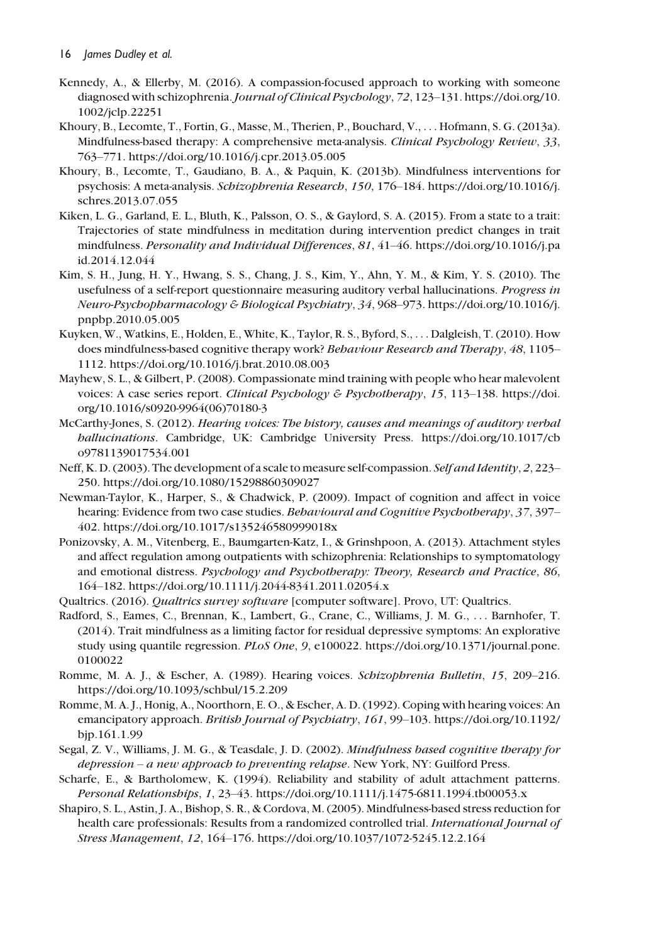- Kennedy, A., & Ellerby, M. (2016). A compassion-focused approach to working with someone diagnosed with schizophrenia. Journal of Clinical Psychology, 72, 123–131. [https://doi.org/10.](https://doi.org/10.1002/jclp.22251) [1002/jclp.22251](https://doi.org/10.1002/jclp.22251)
- Khoury, B., Lecomte, T., Fortin, G., Masse, M., Therien, P., Bouchard, V., ... Hofmann, S. G. (2013a). Mindfulness-based therapy: A comprehensive meta-analysis. Clinical Psychology Review, 33, 763–771.<https://doi.org/10.1016/j.cpr.2013.05.005>
- Khoury, B., Lecomte, T., Gaudiano, B. A., & Paquin, K. (2013b). Mindfulness interventions for psychosis: A meta-analysis. Schizophrenia Research, 150, 176–184. [https://doi.org/10.1016/j.](https://doi.org/10.1016/j.schres.2013.07.055) [schres.2013.07.055](https://doi.org/10.1016/j.schres.2013.07.055)
- Kiken, L. G., Garland, E. L., Bluth, K., Palsson, O. S., & Gaylord, S. A. (2015). From a state to a trait: Trajectories of state mindfulness in meditation during intervention predict changes in trait mindfulness. Personality and Individual Differences, 81, 41–46. [https://doi.org/10.1016/j.pa](https://doi.org/10.1016/j.paid.2014.12.044) [id.2014.12.044](https://doi.org/10.1016/j.paid.2014.12.044)
- Kim, S. H., Jung, H. Y., Hwang, S. S., Chang, J. S., Kim, Y., Ahn, Y. M., & Kim, Y. S. (2010). The usefulness of a self-report questionnaire measuring auditory verbal hallucinations. Progress in Neuro-Psychopharmacology & Biological Psychiatry, 34, 968–973. [https://doi.org/10.1016/j.](https://doi.org/10.1016/j.pnpbp.2010.05.005) [pnpbp.2010.05.005](https://doi.org/10.1016/j.pnpbp.2010.05.005)
- Kuyken, W., Watkins, E., Holden, E., White, K., Taylor, R. S., Byford, S., ... Dalgleish, T. (2010). How does mindfulness-based cognitive therapy work? Behaviour Research and Therapy, 48, 1105– 1112.<https://doi.org/10.1016/j.brat.2010.08.003>
- Mayhew, S. L., & Gilbert, P. (2008). Compassionate mind training with people who hear malevolent voices: A case series report. Clinical Psychology & Psychotherapy, 15, 113–138. [https://doi.](https://doi.org/10.1016/s0920-9964(06)70180-3) [org/10.1016/s0920-9964\(06\)70180-3](https://doi.org/10.1016/s0920-9964(06)70180-3)
- McCarthy-Jones, S. (2012). Hearing voices: The history, causes and meanings of auditory verbal hallucinations. Cambridge, UK: Cambridge University Press. [https://doi.org/10.1017/cb](https://doi.org/10.1017/cbo9781139017534.001) [o9781139017534.001](https://doi.org/10.1017/cbo9781139017534.001)
- Neff, K. D. (2003). The development of a scale to measure self-compassion. Self and Identity, 2, 223– 250.<https://doi.org/10.1080/15298860309027>
- Newman-Taylor, K., Harper, S., & Chadwick, P. (2009). Impact of cognition and affect in voice hearing: Evidence from two case studies. Behavioural and Cognitive Psychotherapy, 37, 397– 402.<https://doi.org/10.1017/s135246580999018x>
- Ponizovsky, A. M., Vitenberg, E., Baumgarten-Katz, I., & Grinshpoon, A. (2013). Attachment styles and affect regulation among outpatients with schizophrenia: Relationships to symptomatology and emotional distress. Psychology and Psychotherapy: Theory, Research and Practice, 86, 164–182.<https://doi.org/10.1111/j.2044-8341.2011.02054.x>
- Qualtrics. (2016). Qualtrics survey software [computer software]. Provo, UT: Qualtrics.
- Radford, S., Eames, C., Brennan, K., Lambert, G., Crane, C., Williams, J. M. G., ... Barnhofer, T. (2014). Trait mindfulness as a limiting factor for residual depressive symptoms: An explorative study using quantile regression. PLoS One, 9, e100022. [https://doi.org/10.1371/journal.pone.](https://doi.org/10.1371/journal.pone.0100022) [0100022](https://doi.org/10.1371/journal.pone.0100022)
- Romme, M. A. J., & Escher, A. (1989). Hearing voices. Schizophrenia Bulletin, 15, 209–216. <https://doi.org/10.1093/schbul/15.2.209>
- Romme, M. A. J., Honig, A., Noorthorn, E. O., & Escher, A. D. (1992). Coping with hearing voices: An emancipatory approach. British Journal of Psychiatry, 161, 99–103. [https://doi.org/10.1192/](https://doi.org/10.1192/bjp.161.1.99) [bjp.161.1.99](https://doi.org/10.1192/bjp.161.1.99)
- Segal, Z. V., Williams, J. M. G., & Teasdale, J. D. (2002). Mindfulness based cognitive therapy for depression – a new approach to preventing relapse. New York, NY: Guilford Press.
- Scharfe, E., & Bartholomew, K. (1994). Reliability and stability of adult attachment patterns. Personal Relationships, 1, 23–43.<https://doi.org/10.1111/j.1475-6811.1994.tb00053.x>
- Shapiro, S. L., Astin, J. A., Bishop, S. R., & Cordova, M. (2005). Mindfulness-based stress reduction for health care professionals: Results from a randomized controlled trial. International Journal of Stress Management, 12, 164–176.<https://doi.org/10.1037/1072-5245.12.2.164>